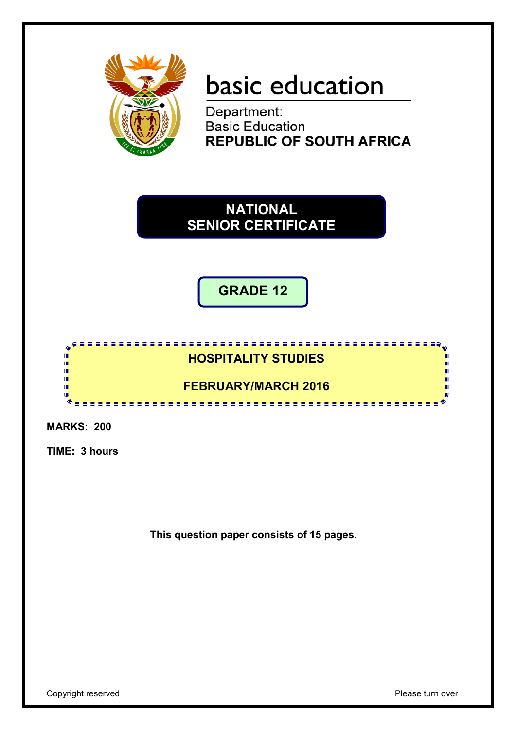

# basic education

Department:<br>Basic Education **REPUBLIC OF SOUTH AFRICA** 

**NATIONAL SENIOR CERTIFICATE**

**GRADE 12**

# **HOSPITALITY STUDIES**

<u>...............</u>

# **FEBRUARY/MARCH 2016** <u>.........................</u>

**MARKS: 200**

h d 庫 ú. ΙÚ, 'n

**TIME: 3 hours**

**This question paper consists of 15 pages.**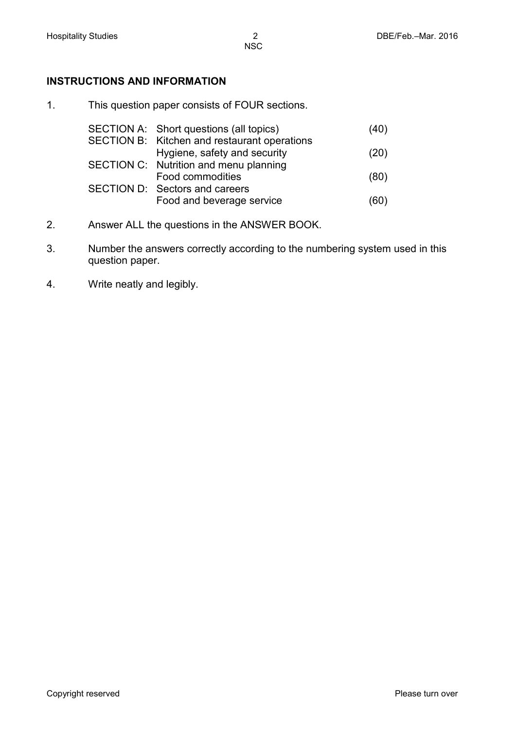### **INSTRUCTIONS AND INFORMATION**

1. This question paper consists of FOUR sections.

| SECTION A: Short questions (all topics)      | (40) |
|----------------------------------------------|------|
| SECTION B: Kitchen and restaurant operations |      |
| Hygiene, safety and security                 | (20) |
| SECTION C: Nutrition and menu planning       |      |
| Food commodities                             | (80) |
| SECTION D: Sectors and careers               |      |
| Food and beverage service                    | (60) |

- 2. Answer ALL the questions in the ANSWER BOOK.
- 3. Number the answers correctly according to the numbering system used in this question paper.
- 4. Write neatly and legibly.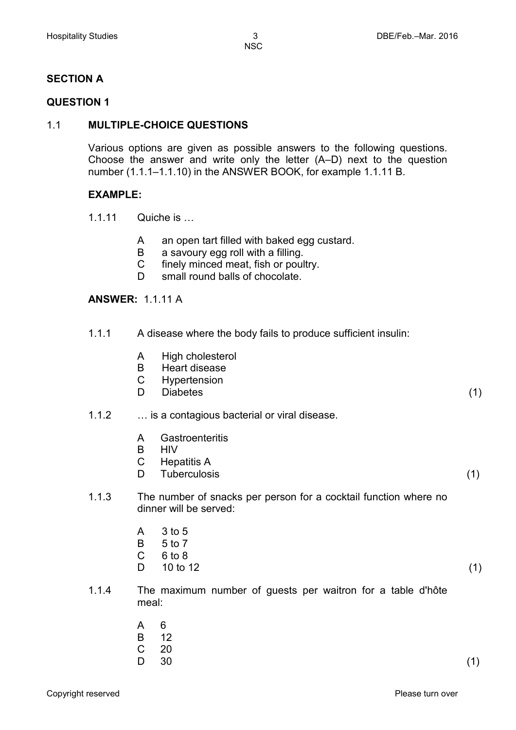# **SECTION A**

#### **QUESTION 1**

#### 1.1 **MULTIPLE-CHOICE QUESTIONS**

Various options are given as possible answers to the following questions. Choose the answer and write only the letter (A–D) next to the question number (1.1.1–1.1.10) in the ANSWER BOOK, for example 1.1.11 B.

#### **EXAMPLE:**

- 1.1.11 Quiche is …
	- A an open tart filled with baked egg custard.
	- B a savoury egg roll with a filling.
	- $\mathcal{C}$ finely minced meat, fish or poultry.
	- D small round balls of chocolate.

#### **ANSWER:** 1.1.11 A

- 1.1.1 A disease where the body fails to produce sufficient insulin:
	- A High cholesterol
	- B Heart disease
	- $\mathcal{C}$ **Hypertension**
	- D Diabetes (1)

#### 1.1.2 … is a contagious bacterial or viral disease.

- A **Gastroenteritis**
- B HIV
- $\overline{C}$ Hepatitis A
- D Tuberculosis (1)
- 1.1.3 The number of snacks per person for a cocktail function where no dinner will be served:
	- A 3 to 5
	- B 5 to 7
	- $\overline{C}$ 6 to 8
	- D.  $10 \text{ to } 12$  (1)
- 1.1.4 The maximum number of guests per waitron for a table d'hôte meal:
	- A 6
	- B 12
	- C  $\frac{20}{30}$
	- D.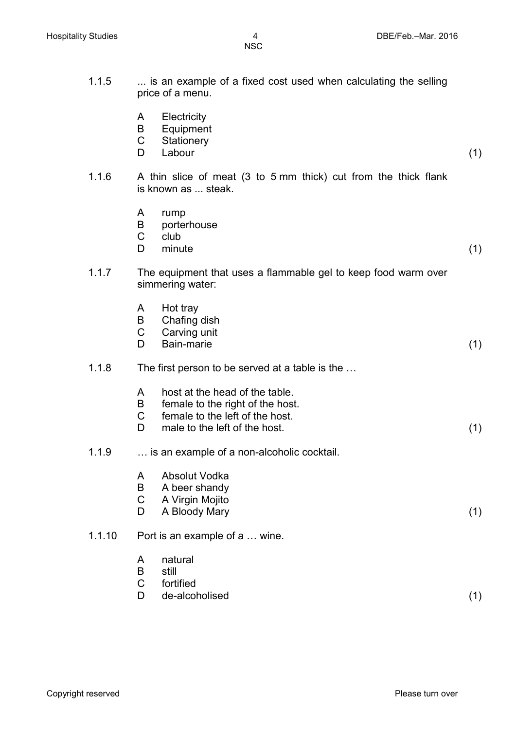| 1.1.5  |                  | is an example of a fixed cost used when calculating the selling<br>price of a menu.                                                    |     |
|--------|------------------|----------------------------------------------------------------------------------------------------------------------------------------|-----|
|        | A<br>B<br>C<br>D | Electricity<br>Equipment<br>Stationery<br>Labour                                                                                       | (1) |
| 1.1.6  |                  | A thin slice of meat (3 to 5 mm thick) cut from the thick flank<br>is known as  steak.                                                 |     |
|        | A<br>B<br>C<br>D | rump<br>porterhouse<br>club<br>minute                                                                                                  | (1) |
| 1.1.7  |                  | The equipment that uses a flammable gel to keep food warm over<br>simmering water:                                                     |     |
|        | A<br>B<br>C<br>D | Hot tray<br>Chafing dish<br>Carving unit<br>Bain-marie                                                                                 | (1) |
| 1.1.8  |                  | The first person to be served at a table is the                                                                                        |     |
|        | A<br>B<br>C<br>D | host at the head of the table.<br>female to the right of the host.<br>female to the left of the host.<br>male to the left of the host. | (1) |
| 1.1.9  |                  | is an example of a non-alcoholic cocktail.                                                                                             |     |
|        | A<br>B<br>C<br>D | Absolut Vodka<br>A beer shandy<br>A Virgin Mojito<br>A Bloody Mary                                                                     | (1) |
| 1.1.10 |                  | Port is an example of a  wine.                                                                                                         |     |
|        | A<br>B<br>C<br>D | natural<br>still<br>fortified<br>de-alcoholised                                                                                        | (1) |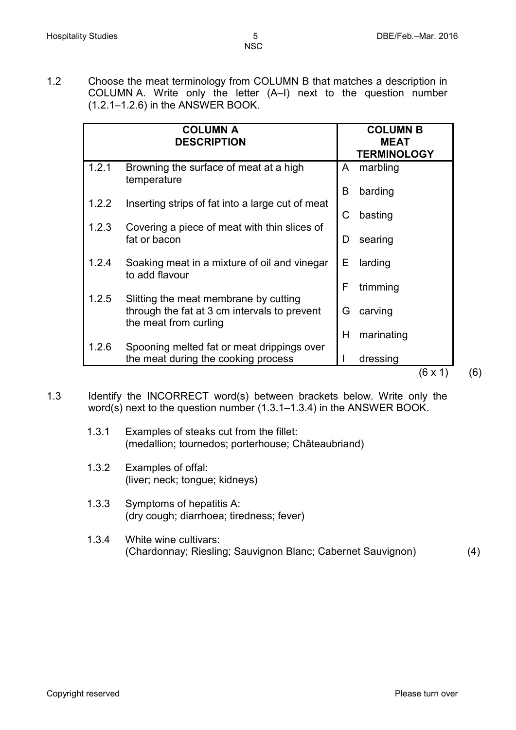1.2 Choose the meat terminology from COLUMN B that matches a description in COLUMN A. Write only the letter (A–I) next to the question number (1.2.1–1.2.6) in the ANSWER BOOK.

| 1.2.1<br>Browning the surface of meat at a high<br>marbling<br>A<br>temperature<br>barding<br>В<br>1.2.2<br>Inserting strips of fat into a large cut of meat<br>C<br>basting<br>1.2.3<br>Covering a piece of meat with thin slices of<br>fat or bacon<br>searing<br>D<br>1.2.4<br>Е<br>Soaking meat in a mixture of oil and vinegar<br>larding<br>to add flavour<br>F<br>trimming<br>1.2.5<br>Slitting the meat membrane by cutting<br>through the fat at 3 cm intervals to prevent<br>G<br>carving<br>the meat from curling<br>Н<br>marinating<br>1.2.6<br>Spooning melted fat or meat drippings over<br>the meat during the cooking process<br>dressing | <b>COLUMN A</b><br><b>DESCRIPTION</b> | <b>COLUMN B</b><br><b>MEAT</b><br><b>TERMINOLOGY</b> |       |  |
|-----------------------------------------------------------------------------------------------------------------------------------------------------------------------------------------------------------------------------------------------------------------------------------------------------------------------------------------------------------------------------------------------------------------------------------------------------------------------------------------------------------------------------------------------------------------------------------------------------------------------------------------------------------|---------------------------------------|------------------------------------------------------|-------|--|
|                                                                                                                                                                                                                                                                                                                                                                                                                                                                                                                                                                                                                                                           |                                       |                                                      |       |  |
|                                                                                                                                                                                                                                                                                                                                                                                                                                                                                                                                                                                                                                                           |                                       |                                                      |       |  |
|                                                                                                                                                                                                                                                                                                                                                                                                                                                                                                                                                                                                                                                           |                                       |                                                      |       |  |
|                                                                                                                                                                                                                                                                                                                                                                                                                                                                                                                                                                                                                                                           |                                       |                                                      |       |  |
|                                                                                                                                                                                                                                                                                                                                                                                                                                                                                                                                                                                                                                                           |                                       |                                                      |       |  |
|                                                                                                                                                                                                                                                                                                                                                                                                                                                                                                                                                                                                                                                           |                                       |                                                      |       |  |
|                                                                                                                                                                                                                                                                                                                                                                                                                                                                                                                                                                                                                                                           |                                       |                                                      |       |  |
|                                                                                                                                                                                                                                                                                                                                                                                                                                                                                                                                                                                                                                                           |                                       |                                                      | (6x1) |  |

- 1.3 Identify the INCORRECT word(s) between brackets below. Write only the word(s) next to the question number (1.3.1–1.3.4) in the ANSWER BOOK.
	- 1.3.1 Examples of steaks cut from the fillet: (medallion; tournedos; porterhouse; Châteaubriand)
	- 1.3.2 Examples of offal: (liver; neck; tongue; kidneys)
	- 1.3.3 Symptoms of hepatitis A: (dry cough; diarrhoea; tiredness; fever)
	- 1.3.4 White wine cultivars: (Chardonnay; Riesling; Sauvignon Blanc; Cabernet Sauvignon) (4)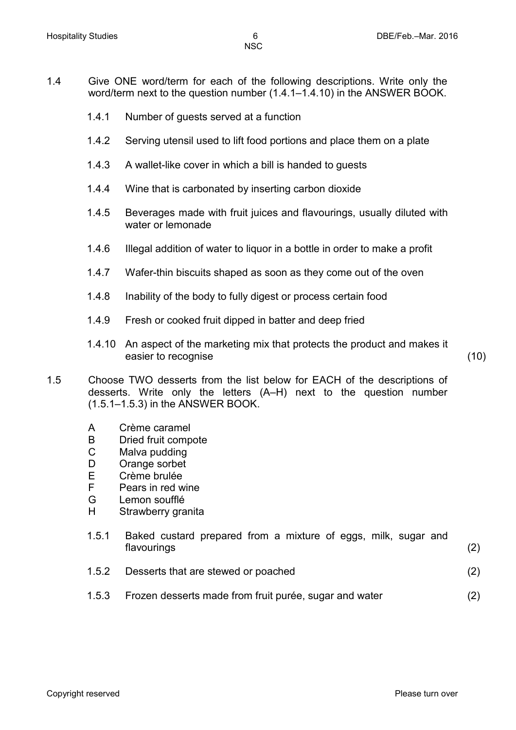- 1.4 Give ONE word/term for each of the following descriptions. Write only the word/term next to the question number (1.4.1–1.4.10) in the ANSWER BOOK.
	- 1.4.1 Number of guests served at a function
	- 1.4.2 Serving utensil used to lift food portions and place them on a plate
	- 1.4.3 A wallet-like cover in which a bill is handed to guests
	- 1.4.4 Wine that is carbonated by inserting carbon dioxide
	- 1.4.5 Beverages made with fruit juices and flavourings, usually diluted with water or lemonade
	- 1.4.6 Illegal addition of water to liquor in a bottle in order to make a profit
	- 1.4.7 Wafer-thin biscuits shaped as soon as they come out of the oven
	- 1.4.8 Inability of the body to fully digest or process certain food
	- 1.4.9 Fresh or cooked fruit dipped in batter and deep fried
	- 1.4.10 An aspect of the marketing mix that protects the product and makes it easier to recognise (10)

1.5 Choose TWO desserts from the list below for EACH of the descriptions of desserts. Write only the letters (A–H) next to the question number (1.5.1–1.5.3) in the ANSWER BOOK.

- A Crème caramel
- B Dried fruit compote<br>C Malva pudding
- Malva pudding
- D Orange sorbet
- E Crème brulée
- F Pears in red wine
- G Lemon soufflé
- H Strawberry granita

| 1.5.1 |             | Baked custard prepared from a mixture of eggs, milk, sugar and |  |  |  |  |               |
|-------|-------------|----------------------------------------------------------------|--|--|--|--|---------------|
|       | flavourings |                                                                |  |  |  |  | (2)           |
|       |             |                                                                |  |  |  |  | $\sim$ $\sim$ |

- 1.5.2 Desserts that are stewed or poached (2)
- 1.5.3 Frozen desserts made from fruit purée, sugar and water (2)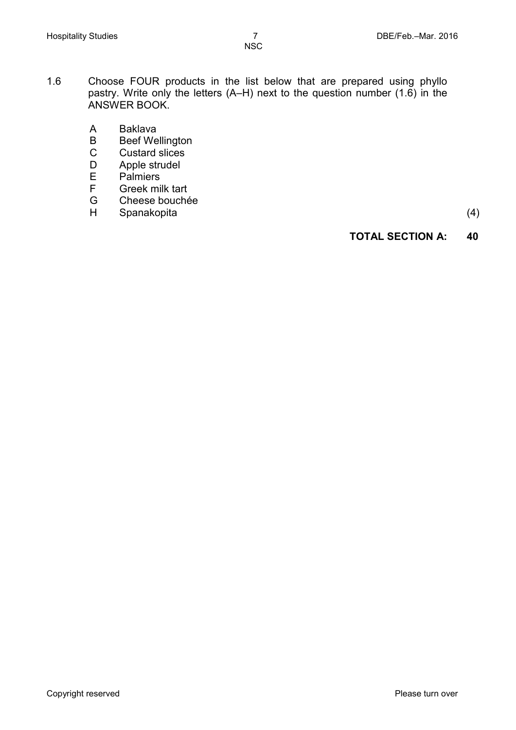- 1.6 Choose FOUR products in the list below that are prepared using phyllo pastry. Write only the letters (A–H) next to the question number (1.6) in the ANSWER BOOK.
	- A Baklava<br>B Beef We
	- B Beef Wellington<br>C Custard slices
	- Custard slices
	- D Apple strudel<br>E Palmiers
	- E Palmiers<br>F Greek mi
	- F Greek milk tart<br>G Cheese bouche
	- Cheese bouchée
	- H Spanakopita (4)

#### **TOTAL SECTION A: 40**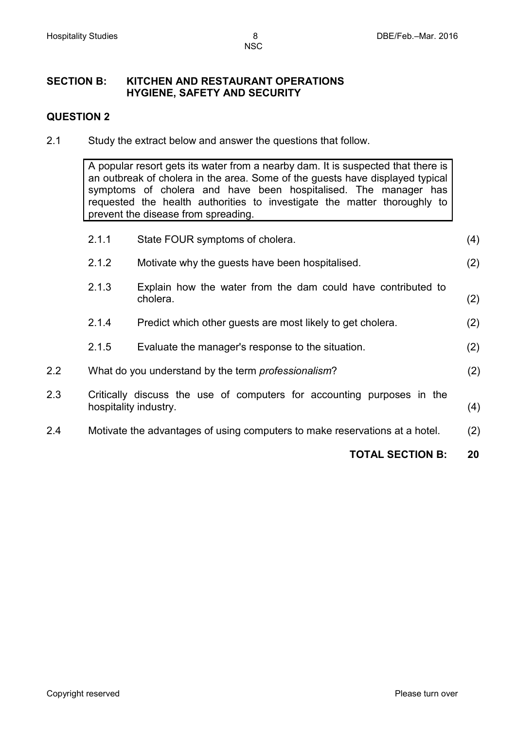#### **SECTION B: KITCHEN AND RESTAURANT OPERATIONS HYGIENE, SAFETY AND SECURITY**

#### **QUESTION 2**

2.1 Study the extract below and answer the questions that follow.

A popular resort gets its water from a nearby dam. It is suspected that there is an outbreak of cholera in the area. Some of the guests have displayed typical symptoms of cholera and have been hospitalised. The manager has requested the health authorities to investigate the matter thoroughly to prevent the disease from spreading.

|                  |       | <b>TOTAL SECTION B:</b>                                                                         | 20  |
|------------------|-------|-------------------------------------------------------------------------------------------------|-----|
| 2.4              |       | Motivate the advantages of using computers to make reservations at a hotel.                     | (2) |
| 2.3              |       | Critically discuss the use of computers for accounting purposes in the<br>hospitality industry. | (4) |
| $2.2\phantom{0}$ |       | What do you understand by the term professionalism?                                             | (2) |
|                  | 2.1.5 | Evaluate the manager's response to the situation.                                               | (2) |
|                  | 2.1.4 | Predict which other guests are most likely to get cholera.                                      | (2) |
|                  | 2.1.3 | Explain how the water from the dam could have contributed to<br>cholera.                        | (2) |
|                  | 2.1.2 | Motivate why the quests have been hospitalised.                                                 | (2) |
|                  | 2.1.1 | State FOUR symptoms of cholera.                                                                 | (4) |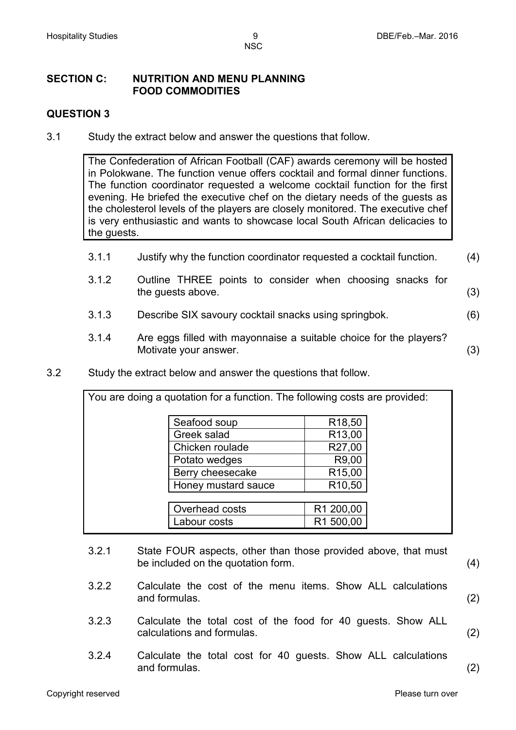#### **SECTION C: NUTRITION AND MENU PLANNING FOOD COMMODITIES**

### **QUESTION 3**

3.1 Study the extract below and answer the questions that follow.

The Confederation of African Football (CAF) awards ceremony will be hosted in Polokwane. The function venue offers cocktail and formal dinner functions. The function coordinator requested a welcome cocktail function for the first evening. He briefed the executive chef on the dietary needs of the guests as the cholesterol levels of the players are closely monitored. The executive chef is very enthusiastic and wants to showcase local South African delicacies to the guests.

- 3.1.1 Justify why the function coordinator requested a cocktail function. (4)
- 3.1.2 Outline THREE points to consider when choosing snacks for the guests above. (3)
- 3.1.3 Describe SIX savoury cocktail snacks using springbok. (6)
- 3.1.4 Are eggs filled with mayonnaise a suitable choice for the players? Motivate your answer. (3)
- 3.2 Study the extract below and answer the questions that follow.

| You are doing a quotation for a function. The following costs are provided: |                    |  |
|-----------------------------------------------------------------------------|--------------------|--|
| Seafood soup                                                                | R <sub>18,50</sub> |  |
| Greek salad                                                                 | R <sub>13,00</sub> |  |
| Chicken roulade                                                             | R27,00             |  |
| Potato wedges                                                               | R9,00              |  |
| Berry cheesecake                                                            | R <sub>15,00</sub> |  |
| Honey mustard sauce                                                         | R <sub>10,50</sub> |  |
|                                                                             |                    |  |
| Overhead costs                                                              | R1 200,00          |  |
| Labour costs                                                                | R1 500,00          |  |
|                                                                             |                    |  |

- 3.2.1 State FOUR aspects, other than those provided above, that must be included on the quotation form. (4)
- 3.2.2 Calculate the cost of the menu items. Show ALL calculations and formulas. (2)
- 3.2.3 Calculate the total cost of the food for 40 guests. Show ALL calculations and formulas. (2)
- 3.2.4 Calculate the total cost for 40 guests. Show ALL calculations and formulas. (2)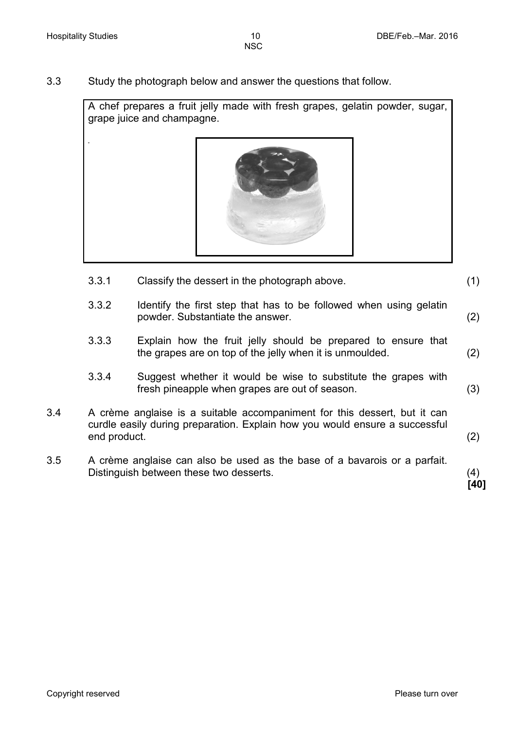3.3 Study the photograph below and answer the questions that follow.

A chef prepares a fruit jelly made with fresh grapes, gelatin powder, sugar, grape juice and champagne.



- 3.3.1 Classify the dessert in the photograph above. (1)
- 3.3.2 Identify the first step that has to be followed when using gelatin powder. Substantiate the answer. (2)
- 3.3.3 Explain how the fruit jelly should be prepared to ensure that the grapes are on top of the jelly when it is unmoulded. (2)
- 3.3.4 Suggest whether it would be wise to substitute the grapes with fresh pineapple when grapes are out of season. (3)
- 3.4 A crème anglaise is a suitable accompaniment for this dessert, but it can curdle easily during preparation. Explain how you would ensure a successful end product. (2)
- 3.5 A crème anglaise can also be used as the base of a bavarois or a parfait. Distinguish between these two desserts. (4)

**[40]**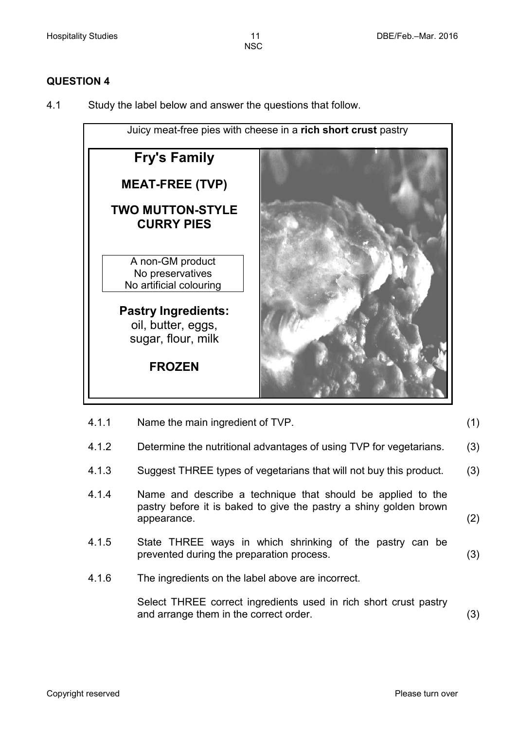#### **QUESTION 4**

4.1 Study the label below and answer the questions that follow.



| 4.1.2 | Determine the nutritional advantages of using TVP for vegetarians.                                                                              | (3) |
|-------|-------------------------------------------------------------------------------------------------------------------------------------------------|-----|
| 4.1.3 | Suggest THREE types of vegetarians that will not buy this product.                                                                              | (3) |
| 4.1.4 | Name and describe a technique that should be applied to the<br>pastry before it is baked to give the pastry a shiny golden brown<br>appearance. | (2) |

4.1.1 Name the main ingredient of TVP. (1)

- 4.1.5 State THREE ways in which shrinking of the pastry can be prevented during the preparation process. (3)
- 4.1.6 The ingredients on the label above are incorrect.

Select THREE correct ingredients used in rich short crust pastry and arrange them in the correct order. (3)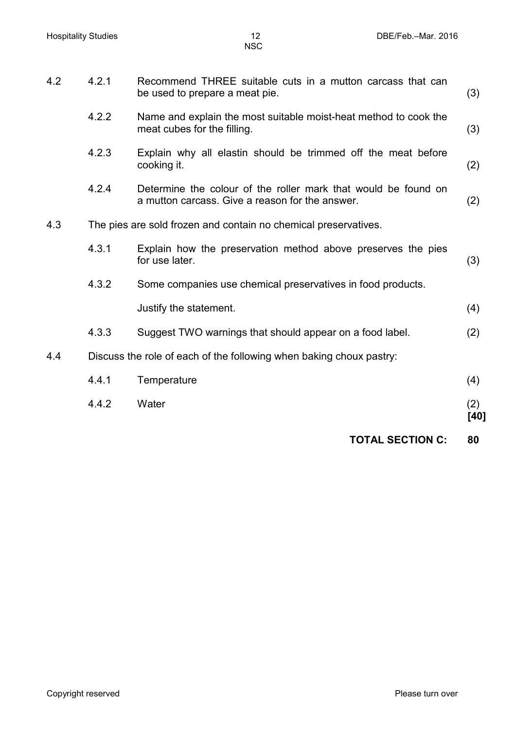|     |       | <b>TOTAL SECTION C:</b>                                                                                           | 80          |
|-----|-------|-------------------------------------------------------------------------------------------------------------------|-------------|
|     | 4.4.2 | Water                                                                                                             | (2)<br>[40] |
|     | 4.4.1 | Temperature                                                                                                       | (4)         |
| 4.4 |       | Discuss the role of each of the following when baking choux pastry:                                               |             |
|     | 4.3.3 | Suggest TWO warnings that should appear on a food label.                                                          | (2)         |
|     |       | Justify the statement.                                                                                            | (4)         |
|     | 4.3.2 | Some companies use chemical preservatives in food products.                                                       |             |
|     | 4.3.1 | Explain how the preservation method above preserves the pies<br>for use later.                                    | (3)         |
| 4.3 |       | The pies are sold frozen and contain no chemical preservatives.                                                   |             |
|     | 4.2.4 | Determine the colour of the roller mark that would be found on<br>a mutton carcass. Give a reason for the answer. | (2)         |
|     | 4.2.3 | Explain why all elastin should be trimmed off the meat before<br>cooking it.                                      | (2)         |
|     | 4.2.2 | Name and explain the most suitable moist-heat method to cook the<br>meat cubes for the filling.                   | (3)         |
| 4.2 | 4.2.1 | Recommend THREE suitable cuts in a mutton carcass that can<br>be used to prepare a meat pie.                      | (3)         |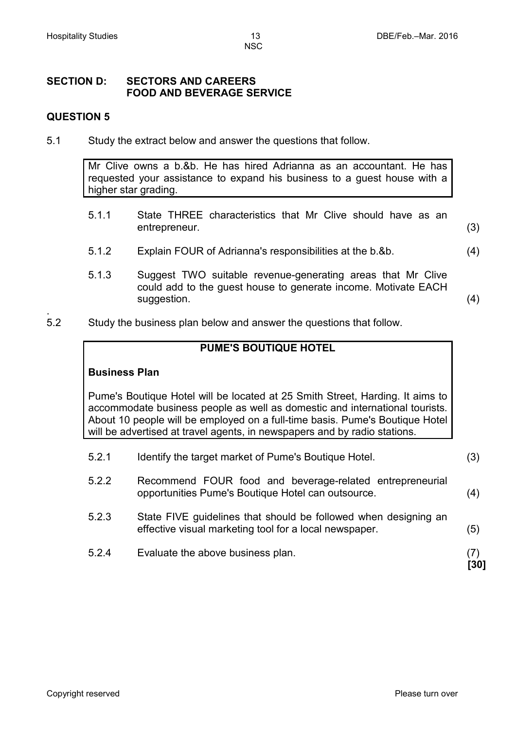# **SECTION D: SECTORS AND CAREERS FOOD AND BEVERAGE SERVICE**

#### **QUESTION 5**

5.1 Study the extract below and answer the questions that follow.

Mr Clive owns a b.&b. He has hired Adrianna as an accountant. He has requested your assistance to expand his business to a guest house with a higher star grading.

- 5.1.1 State THREE characteristics that Mr Clive should have as an entrepreneur. (3)
- 5.1.2 Explain FOUR of Adrianna's responsibilities at the b.&b. (4)
- 5.1.3 Suggest TWO suitable revenue-generating areas that Mr Clive could add to the guest house to generate income. Motivate EACH suggestion. (4) (3) and (4) suggestion. (4) and (4) suggestion (4) and (5) suggestion (4) and (4) suggestion (4) and (4) suggestion (4) and (5) suggestion (4) and (5) suggestion (5) suggestion (5) suggestion (5) suggestion
- . 5.2 Study the business plan below and answer the questions that follow.

## **PUME'S BOUTIQUE HOTEL**

#### **Business Plan**

Pume's Boutique Hotel will be located at 25 Smith Street, Harding. It aims to accommodate business people as well as domestic and international tourists. About 10 people will be employed on a full-time basis. Pume's Boutique Hotel will be advertised at travel agents, in newspapers and by radio stations.

5.2.1 Identify the target market of Pume's Boutique Hotel. (3) 5.2.2 Recommend FOUR food and beverage-related entrepreneurial opportunities Pume's Boutique Hotel can outsource. (4) 5.2.3 State FIVE guidelines that should be followed when designing an effective visual marketing tool for a local newspaper. (5) 5.2.4 Evaluate the above business plan. (7) **[30]**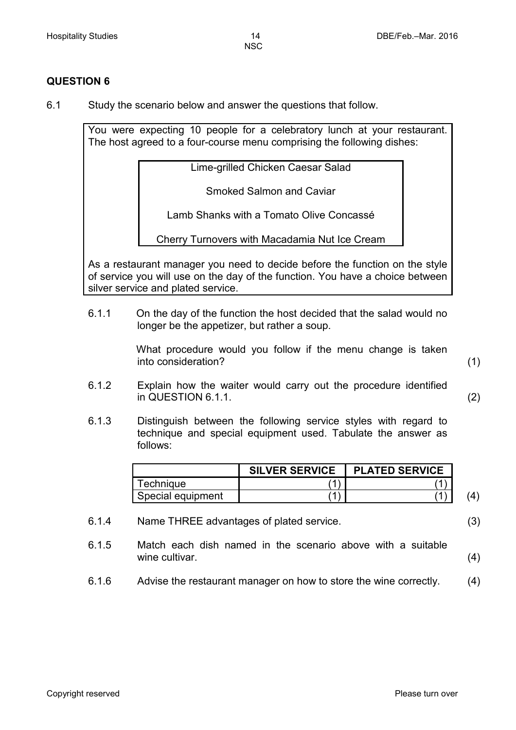#### **QUESTION 6**

6.1 Study the scenario below and answer the questions that follow.

You were expecting 10 people for a celebratory lunch at your restaurant. The host agreed to a four-course menu comprising the following dishes:

Lime-grilled Chicken Caesar Salad

Smoked Salmon and Caviar

Lamb Shanks with a Tomato Olive Concassé

Cherry Turnovers with Macadamia Nut Ice Cream

As a restaurant manager you need to decide before the function on the style of service you will use on the day of the function. You have a choice between silver service and plated service.

6.1.1 On the day of the function the host decided that the salad would no longer be the appetizer, but rather a soup.

> What procedure would you follow if the menu change is taken into consideration? (1)

- 6.1.2 Explain how the waiter would carry out the procedure identified in QUESTION 6.1.1. (2)
- 6.1.3 Distinguish between the following service styles with regard to technique and special equipment used. Tabulate the answer as follows:

|                       | <b>SILVER SERVICE</b> | <b>PLATED SERVICE</b> |  |
|-----------------------|-----------------------|-----------------------|--|
| <sup>-</sup> echniaue |                       |                       |  |
| Special equipment     |                       |                       |  |

- 6.1.4 Name THREE advantages of plated service. (3)
- 6.1.5 Match each dish named in the scenario above with a suitable wine cultivar. (4)
- 6.1.6 Advise the restaurant manager on how to store the wine correctly. (4)